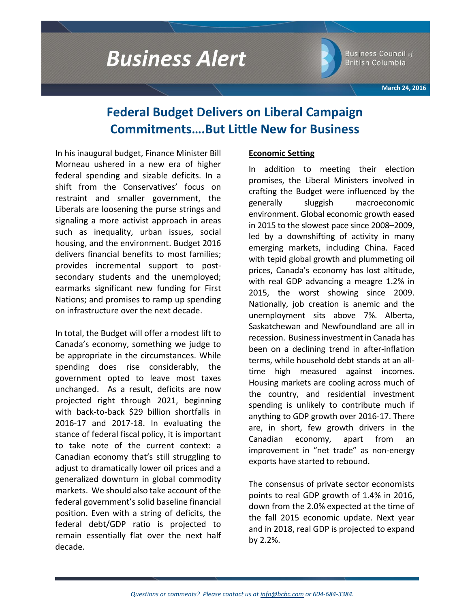# **Business Alert**



Business Council of British Columbia

**March 24, 2016**

# **Federal Budget Delivers on Liberal Campaign Commitments….But Little New for Business**

In his inaugural budget, Finance Minister Bill Morneau ushered in a new era of higher federal spending and sizable deficits. In a shift from the Conservatives' focus on restraint and smaller government, the Liberals are loosening the purse strings and signaling a more activist approach in areas such as inequality, urban issues, social housing, and the environment. Budget 2016 delivers financial benefits to most families; provides incremental support to postsecondary students and the unemployed; earmarks significant new funding for First Nations; and promises to ramp up spending on infrastructure over the next decade.

In total, the Budget will offer a modest lift to Canada's economy, something we judge to be appropriate in the circumstances. While spending does rise considerably, the government opted to leave most taxes unchanged. As a result, deficits are now projected right through 2021, beginning with back-to-back \$29 billion shortfalls in 2016-17 and 2017-18. In evaluating the stance of federal fiscal policy, it is important to take note of the current context: a Canadian economy that's still struggling to adjust to dramatically lower oil prices and a generalized downturn in global commodity markets. We should also take account of the federal government's solid baseline financial position. Even with a string of deficits, the federal debt/GDP ratio is projected to remain essentially flat over the next half decade.

## **Economic Setting**

In addition to meeting their election promises, the Liberal Ministers involved in crafting the Budget were influenced by the generally sluggish macroeconomic environment. Global economic growth eased in 2015 to the slowest pace since 2008–2009, led by a downshifting of activity in many emerging markets, including China. Faced with tepid global growth and plummeting oil prices, Canada's economy has lost altitude, with real GDP advancing a meagre 1.2% in 2015, the worst showing since 2009. Nationally, job creation is anemic and the unemployment sits above 7%. Alberta, Saskatchewan and Newfoundland are all in recession. Business investment in Canada has been on a declining trend in after-inflation terms, while household debt stands at an alltime high measured against incomes. Housing markets are cooling across much of the country, and residential investment spending is unlikely to contribute much if anything to GDP growth over 2016-17. There are, in short, few growth drivers in the Canadian economy, apart from an improvement in "net trade" as non-energy exports have started to rebound.

The consensus of private sector economists points to real GDP growth of 1.4% in 2016, down from the 2.0% expected at the time of the fall 2015 economic update. Next year and in 2018, real GDP is projected to expand by 2.2%.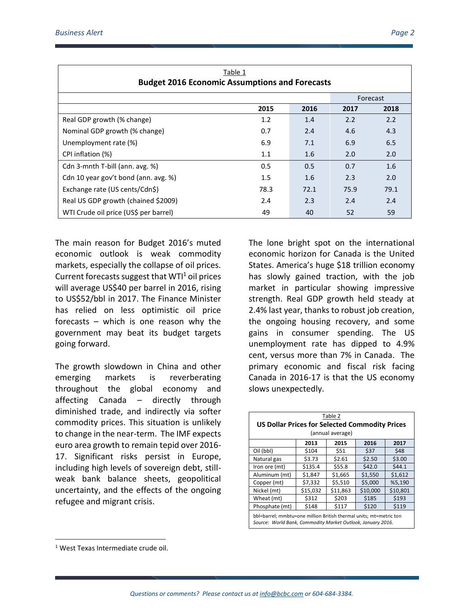| Table 1<br><b>Budget 2016 Economic Assumptions and Forecasts</b> |         |          |      |      |  |  |  |
|------------------------------------------------------------------|---------|----------|------|------|--|--|--|
|                                                                  |         | Forecast |      |      |  |  |  |
|                                                                  | 2015    | 2016     | 2017 | 2018 |  |  |  |
| Real GDP growth (% change)                                       | 1.2     | 1.4      | 2.2  | 2.2  |  |  |  |
| Nominal GDP growth (% change)                                    | 0.7     | 2.4      | 4.6  | 4.3  |  |  |  |
| Unemployment rate (%)                                            | 6.9     | 7.1      | 6.9  | 6.5  |  |  |  |
| CPI inflation (%)                                                | 1.1     | 1.6      | 2.0  | 2.0  |  |  |  |
| Cdn 3-mnth T-bill (ann. avg. %)                                  | 0.5     | 0.5      | 0.7  | 1.6  |  |  |  |
| Cdn 10 year gov't bond (ann. avg. %)                             | $1.5\,$ | 1.6      | 2.3  | 2.0  |  |  |  |
| Exchange rate (US cents/Cdn\$)                                   | 78.3    | 72.1     | 75.9 | 79.1 |  |  |  |
| Real US GDP growth (chained \$2009)                              | 2.4     | 2.3      | 2.4  | 2.4  |  |  |  |
| WTI Crude oil price (US\$ per barrel)                            | 49      | 40       | 52   | 59   |  |  |  |

The main reason for Budget 2016's muted economic outlook is weak commodity markets, especially the collapse of oil prices. Current forecasts suggest that  $WT<sup>1</sup>$  oil prices will average US\$40 per barrel in 2016, rising to US\$52/bbl in 2017. The Finance Minister has relied on less optimistic oil price forecasts – which is one reason why the government may beat its budget targets going forward.

The growth slowdown in China and other emerging markets is reverberating throughout the global economy and affecting Canada – directly through diminished trade, and indirectly via softer commodity prices. This situation is unlikely to change in the near-term. The IMF expects euro area growth to remain tepid over 2016- 17. Significant risks persist in Europe, including high levels of sovereign debt, stillweak bank balance sheets, geopolitical uncertainty, and the effects of the ongoing refugee and migrant crisis.

The lone bright spot on the international economic horizon for Canada is the United States. America's huge \$18 trillion economy has slowly gained traction, with the job market in particular showing impressive strength. Real GDP growth held steady at 2.4% last year, thanks to robust job creation, the ongoing housing recovery, and some gains in consumer spending. The US unemployment rate has dipped to 4.9% cent, versus more than 7% in Canada. The primary economic and fiscal risk facing Canada in 2016-17 is that the US economy slows unexpectedly.

| Table 2<br><b>US Dollar Prices for Selected Commodity Prices</b><br>(annual average)                                              |          |          |          |          |  |  |  |
|-----------------------------------------------------------------------------------------------------------------------------------|----------|----------|----------|----------|--|--|--|
|                                                                                                                                   | 2013     | 2015     | 2016     | 2017     |  |  |  |
| Oil (bbl)                                                                                                                         | \$104    | \$51     | \$37     | \$48     |  |  |  |
| Natural gas                                                                                                                       | \$3.73   | \$2.61   | \$2.50   | \$3.00   |  |  |  |
| Iron ore (mt)                                                                                                                     | \$135.4  | \$55.8   | \$42.0   | \$44.1   |  |  |  |
| Aluminum (mt)                                                                                                                     | \$1,847  | \$1,665  | \$1,550  | \$1,612  |  |  |  |
| Copper (mt)                                                                                                                       | \$7,332  | \$5,510  | \$5,000  | %5,190   |  |  |  |
| Nickel (mt)                                                                                                                       | \$15,032 | \$11,863 | \$10,000 | \$10,801 |  |  |  |
| Wheat (mt)                                                                                                                        | \$312    | \$203    | \$185    | \$193    |  |  |  |
| Phosphate (mt)                                                                                                                    | \$148    | \$117    | \$120    | \$119    |  |  |  |
| bbl=barrel; mmbtu=one million British thermal units; mt=metric ton<br>Source: World Bank, Commodity Market Outlook, January 2016. |          |          |          |          |  |  |  |

 $\overline{\phantom{a}}$ 

<sup>1</sup> West Texas Intermediate crude oil.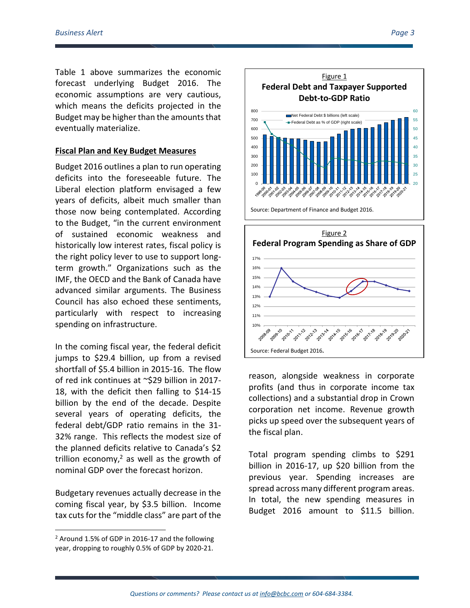Table 1 above summarizes the economic forecast underlying Budget 2016. The economic assumptions are very cautious, which means the deficits projected in the Budget may be higher than the amounts that eventually materialize.

#### **Fiscal Plan and Key Budget Measures**

Budget 2016 outlines a plan to run operating deficits into the foreseeable future. The Liberal election platform envisaged a few years of deficits, albeit much smaller than those now being contemplated. According to the Budget, "in the current environment of sustained economic weakness and historically low interest rates, fiscal policy is the right policy lever to use to support longterm growth." Organizations such as the IMF, the OECD and the Bank of Canada have advanced similar arguments. The Business Council has also echoed these sentiments, particularly with respect to increasing spending on infrastructure.

In the coming fiscal year, the federal deficit jumps to \$29.4 billion, up from a revised shortfall of \$5.4 billion in 2015-16. The flow of red ink continues at ~\$29 billion in 2017- 18, with the deficit then falling to \$14-15 billion by the end of the decade. Despite several years of operating deficits, the federal debt/GDP ratio remains in the 31- 32% range. This reflects the modest size of the planned deficits relative to Canada's \$2 trillion economy, $2$  as well as the growth of nominal GDP over the forecast horizon.

Budgetary revenues actually decrease in the coming fiscal year, by \$3.5 billion. Income tax cuts for the "middle class" are part of the

l





reason, alongside weakness in corporate profits (and thus in corporate income tax collections) and a substantial drop in Crown corporation net income. Revenue growth picks up speed over the subsequent years of the fiscal plan.

Total program spending climbs to \$291 billion in 2016-17, up \$20 billion from the previous year. Spending increases are spread across many different program areas. In total, the new spending measures in Budget 2016 amount to \$11.5 billion.

 $2$  Around 1.5% of GDP in 2016-17 and the following year, dropping to roughly 0.5% of GDP by 2020-21.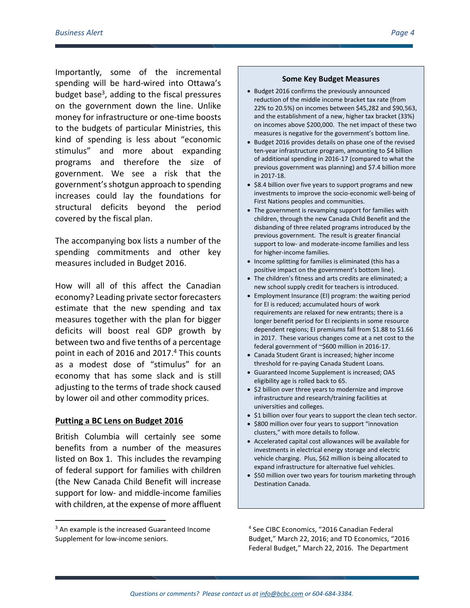Importantly, some of the incremental spending will be hard-wired into Ottawa's budget base<sup>3</sup>, adding to the fiscal pressures on the government down the line. Unlike money for infrastructure or one-time boosts to the budgets of particular Ministries, this kind of spending is less about "economic stimulus" and more about expanding programs and therefore the size of government. We see a risk that the government's shotgun approach to spending increases could lay the foundations for structural deficits beyond the period covered by the fiscal plan.

The accompanying box lists a number of the spending commitments and other key measures included in Budget 2016.

How will all of this affect the Canadian economy? Leading private sector forecasters estimate that the new spending and tax measures together with the plan for bigger deficits will boost real GDP growth by between two and five tenths of a percentage point in each of 2016 and 2017.<sup>4</sup> This counts as a modest dose of "stimulus" for an economy that has some slack and is still adjusting to the terms of trade shock caused by lower oil and other commodity prices.

#### **Putting a BC Lens on Budget 2016**

British Columbia will certainly see some benefits from a number of the measures listed on Box 1. This includes the revamping of federal support for families with children (the New Canada Child Benefit will increase support for low- and middle-income families with children, at the expense of more affluent

#### <sup>3</sup> An example is the increased Guaranteed Income Supplement for low-income seniors.

 $\overline{\phantom{a}}$ 

#### **Some Key Budget Measures**

- Budget 2016 confirms the previously announced reduction of the middle income bracket tax rate (from 22% to 20.5%) on incomes between \$45,282 and \$90,563, and the establishment of a new, higher tax bracket (33%) on incomes above \$200,000. The net impact of these two measures is negative for the government's bottom line.
- Budget 2016 provides details on phase one of the revised ten-year infrastructure program, amounting to \$4 billion of additional spending in 2016-17 (compared to what the previous government was planning) and \$7.4 billion more in 2017-18.
- \$8.4 billion over five years to support programs and new investments to improve the socio-economic well-being of First Nations peoples and communities.
- The government is revamping support for families with children, through the new Canada Child Benefit and the disbanding of three related programs introduced by the previous government. The result is greater financial support to low- and moderate-income families and less for higher-income families.
- Income splitting for families is eliminated (this has a positive impact on the government's bottom line).
- The children's fitness and arts credits are eliminated; a new school supply credit for teachers is introduced.
- Employment Insurance (EI) program: the waiting period for EI is reduced; accumulated hours of work requirements are relaxed for new entrants; there is a longer benefit period for EI recipients in some resource dependent regions; EI premiums fall from \$1.88 to \$1.66 in 2017. These various changes come at a net cost to the federal government of ~\$600 million in 2016-17.
- Canada Student Grant is increased; higher income threshold for re-paying Canada Student Loans.
- Guaranteed Income Supplement is increased; OAS eligibility age is rolled back to 65.
- \$2 billion over three years to modernize and improve infrastructure and research/training facilities at universities and colleges.
- \$1 billion over four years to support the clean tech sector.
- \$800 million over four years to support "innovation clusters," with more details to follow.
- Accelerated capital cost allowances will be available for investments in electrical energy storage and electric vehicle charging. Plus, \$62 million is being allocated to expand infrastructure for alternative fuel vehicles.
- \$50 million over two years for tourism marketing through Destination Canada.

4 See CIBC Economics, "2016 Canadian Federal Budget," March 22, 2016; and TD Economics, "2016 Federal Budget," March 22, 2016. The Department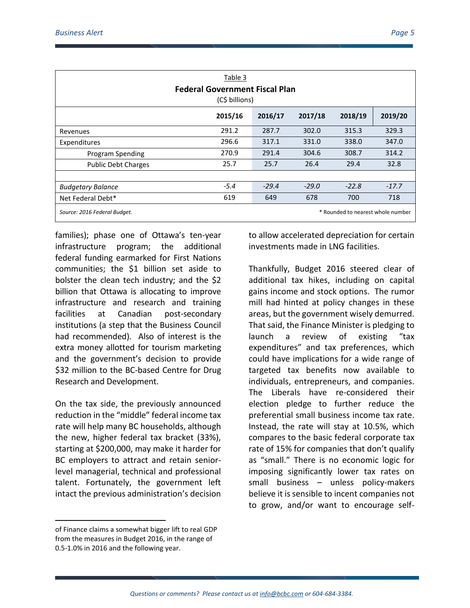| Table 3<br><b>Federal Government Fiscal Plan</b><br>(C\$ billions) |         |         |         |         |         |  |  |  |
|--------------------------------------------------------------------|---------|---------|---------|---------|---------|--|--|--|
|                                                                    | 2015/16 | 2016/17 | 2017/18 | 2018/19 | 2019/20 |  |  |  |
| Revenues                                                           | 291.2   | 287.7   | 302.0   | 315.3   | 329.3   |  |  |  |
| Expenditures                                                       | 296.6   | 317.1   | 331.0   | 338.0   | 347.0   |  |  |  |
| Program Spending                                                   | 270.9   | 291.4   | 304.6   | 308.7   | 314.2   |  |  |  |
| <b>Public Debt Charges</b>                                         | 25.7    | 25.7    | 26.4    | 29.4    | 32.8    |  |  |  |
|                                                                    |         |         |         |         |         |  |  |  |
| <b>Budgetary Balance</b>                                           | $-5.4$  | $-29.4$ | $-29.0$ | $-22.8$ | $-17.7$ |  |  |  |
| Net Federal Debt*                                                  | 619     | 649     | 678     | 700     | 718     |  |  |  |
| * Rounded to nearest whole number<br>Source: 2016 Federal Budget.  |         |         |         |         |         |  |  |  |

families); phase one of Ottawa's ten-year infrastructure program; the additional federal funding earmarked for First Nations communities; the \$1 billion set aside to bolster the clean tech industry; and the \$2 billion that Ottawa is allocating to improve infrastructure and research and training facilities at Canadian post-secondary institutions (a step that the Business Council had recommended). Also of interest is the extra money allotted for tourism marketing and the government's decision to provide \$32 million to the BC-based Centre for Drug Research and Development.

On the tax side, the previously announced reduction in the "middle" federal income tax rate will help many BC households, although the new, higher federal tax bracket (33%), starting at \$200,000, may make it harder for BC employers to attract and retain seniorlevel managerial, technical and professional talent. Fortunately, the government left intact the previous administration's decision

to allow accelerated depreciation for certain investments made in LNG facilities.

Thankfully, Budget 2016 steered clear of additional tax hikes, including on capital gains income and stock options. The rumor mill had hinted at policy changes in these areas, but the government wisely demurred. That said, the Finance Minister is pledging to launch a review of existing "tax expenditures" and tax preferences, which could have implications for a wide range of targeted tax benefits now available to individuals, entrepreneurs, and companies. The Liberals have re-considered their election pledge to further reduce the preferential small business income tax rate. Instead, the rate will stay at 10.5%, which compares to the basic federal corporate tax rate of 15% for companies that don't qualify as "small." There is no economic logic for imposing significantly lower tax rates on small business – unless policy-makers believe it is sensible to incent companies not to grow, and/or want to encourage self-

 $\overline{\phantom{a}}$ 

of Finance claims a somewhat bigger lift to real GDP from the measures in Budget 2016, in the range of 0.5-1.0% in 2016 and the following year.